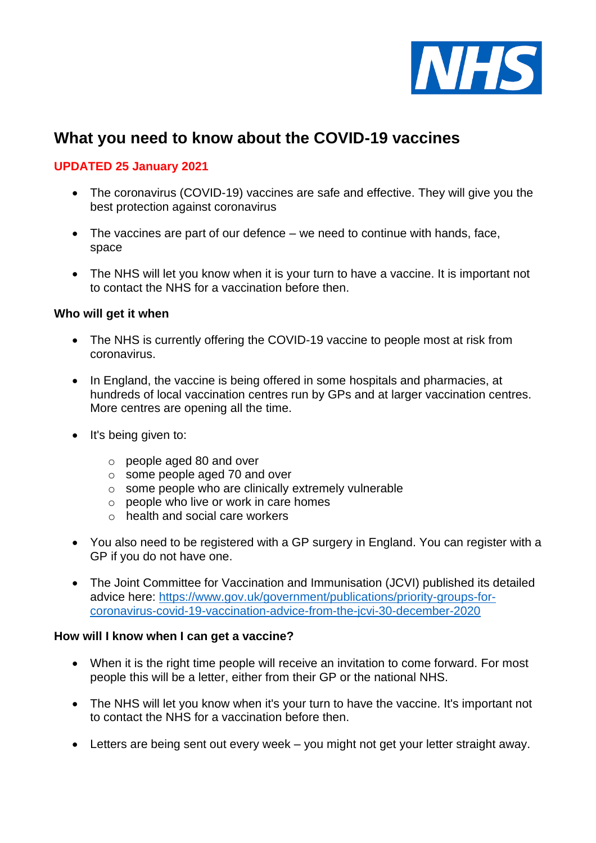

# **What you need to know about the COVID-19 vaccines**

### **UPDATED 25 January 2021**

- The coronavirus (COVID-19) vaccines are safe and effective. They will give you the best protection against coronavirus
- The vaccines are part of our defence we need to continue with hands, face, space
- The NHS will let you know when it is your turn to have a vaccine. It is important not to contact the NHS for a vaccination before then.

#### **Who will get it when**

- The NHS is currently offering the COVID-19 vaccine to people most at risk from coronavirus.
- In England, the vaccine is being offered in some hospitals and pharmacies, at hundreds of local vaccination centres run by GPs and at larger vaccination centres. More centres are opening all the time.
- It's being given to:
	- o people aged 80 and over
	- o some people aged 70 and over
	- o some people who are clinically extremely vulnerable
	- o people who live or work in care homes
	- o health and social care workers
- You also need to be registered with a GP surgery in England. You can register with a GP if you do not have one.
- The Joint Committee for Vaccination and Immunisation (JCVI) published its detailed advice here: [https://www.gov.uk/government/publications/priority-groups-for](https://www.gov.uk/government/publications/priority-groups-for-coronavirus-covid-19-vaccination-advice-from-the-jcvi-30-december-2020)[coronavirus-covid-19-vaccination-advice-from-the-jcvi-30-december-2020](https://www.gov.uk/government/publications/priority-groups-for-coronavirus-covid-19-vaccination-advice-from-the-jcvi-30-december-2020)

#### **How will I know when I can get a vaccine?**

- When it is the right time people will receive an invitation to come forward. For most people this will be a letter, either from their GP or the national NHS.
- The NHS will let you know when it's your turn to have the vaccine. It's important not to contact the NHS for a vaccination before then.
- Letters are being sent out every week you might not get your letter straight away.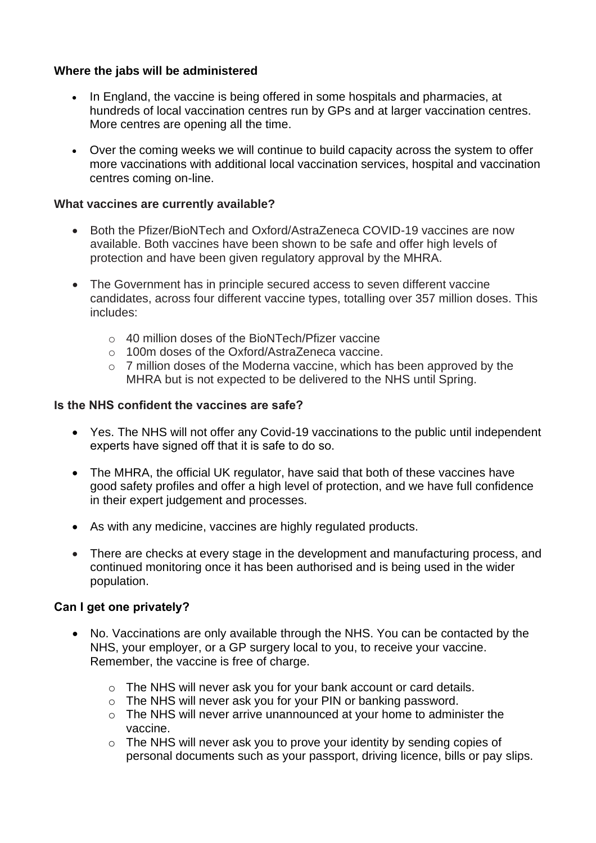### **Where the jabs will be administered**

- In England, the vaccine is being offered in some hospitals and pharmacies, at hundreds of local vaccination centres run by GPs and at larger vaccination centres. More centres are opening all the time.
- Over the coming weeks we will continue to build capacity across the system to offer more vaccinations with additional local vaccination services, hospital and vaccination centres coming on-line.

#### **What vaccines are currently available?**

- Both the Pfizer/BioNTech and Oxford/AstraZeneca COVID-19 vaccines are now available. Both vaccines have been shown to be safe and offer high levels of protection and have been given regulatory approval by the MHRA.
- The Government has in principle secured access to seven different vaccine candidates, across four different vaccine types, totalling over 357 million doses. This includes:
	- o 40 million doses of the BioNTech/Pfizer vaccine
	- o 100m doses of the Oxford/AstraZeneca vaccine.
	- o 7 million doses of the Moderna vaccine, which has been approved by the MHRA but is not expected to be delivered to the NHS until Spring.

#### **Is the NHS confident the vaccines are safe?**

- Yes. The NHS will not offer any Covid-19 vaccinations to the public until independent experts have signed off that it is safe to do so.
- The MHRA, the official UK regulator, have said that both of these vaccines have good safety profiles and offer a high level of protection, and we have full confidence in their expert judgement and processes.
- As with any medicine, vaccines are highly regulated products.
- There are checks at every stage in the development and manufacturing process, and continued monitoring once it has been authorised and is being used in the wider population.

#### **Can I get one privately?**

- No. Vaccinations are only available through the NHS. You can be contacted by the NHS, your employer, or a GP surgery local to you, to receive your vaccine. Remember, the vaccine is free of charge.
	- o The NHS will never ask you for your bank account or card details.
	- o The NHS will never ask you for your PIN or banking password.
	- o The NHS will never arrive unannounced at your home to administer the vaccine.
	- o The NHS will never ask you to prove your identity by sending copies of personal documents such as your passport, driving licence, bills or pay slips.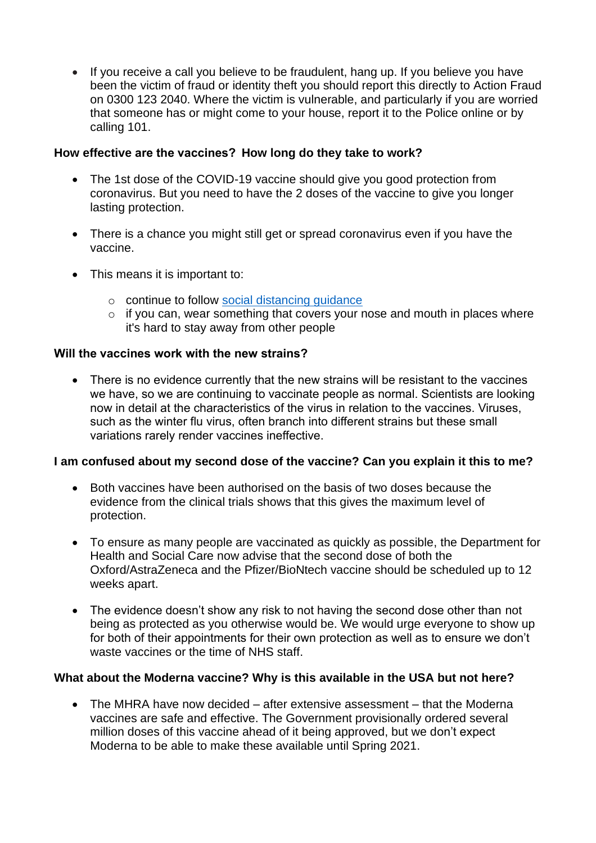• If you receive a call you believe to be fraudulent, hang up. If you believe you have been the victim of fraud or identity theft you should report this directly to Action Fraud on 0300 123 2040. Where the victim is vulnerable, and particularly if you are worried that someone has or might come to your house, report it to the Police online or by calling 101.

### **How effective are the vaccines?  How long do they take to work?**

- The 1st dose of the COVID-19 vaccine should give you good protection from coronavirus. But you need to have the 2 doses of the vaccine to give you longer lasting protection.
- There is a chance you might still get or spread coronavirus even if you have the vaccine.
- This means it is important to:
	- o continue to follow [social distancing guidance](https://www.nhs.uk/conditions/coronavirus-covid-19/social-distancing/what-you-need-to-do/)
	- o if you can, wear something that covers your nose and mouth in places where it's hard to stay away from other people

#### **Will the vaccines work with the new strains?**

• There is no evidence currently that the new strains will be resistant to the vaccines we have, so we are continuing to vaccinate people as normal. Scientists are looking now in detail at the characteristics of the virus in relation to the vaccines. Viruses, such as the winter flu virus, often branch into different strains but these small variations rarely render vaccines ineffective.

#### **I am confused about my second dose of the vaccine? Can you explain it this to me?**

- Both vaccines have been authorised on the basis of two doses because the evidence from the clinical trials shows that this gives the maximum level of protection.
- To ensure as many people are vaccinated as quickly as possible, the Department for Health and Social Care now advise that the second dose of both the Oxford/AstraZeneca and the Pfizer/BioNtech vaccine should be scheduled up to 12 weeks apart.
- The evidence doesn't show any risk to not having the second dose other than not being as protected as you otherwise would be. We would urge everyone to show up for both of their appointments for their own protection as well as to ensure we don't waste vaccines or the time of NHS staff.

## **What about the Moderna vaccine? Why is this available in the USA but not here?**

• The MHRA have now decided – after extensive assessment – that the Moderna vaccines are safe and effective. The Government provisionally ordered several million doses of this vaccine ahead of it being approved, but we don't expect Moderna to be able to make these available until Spring 2021.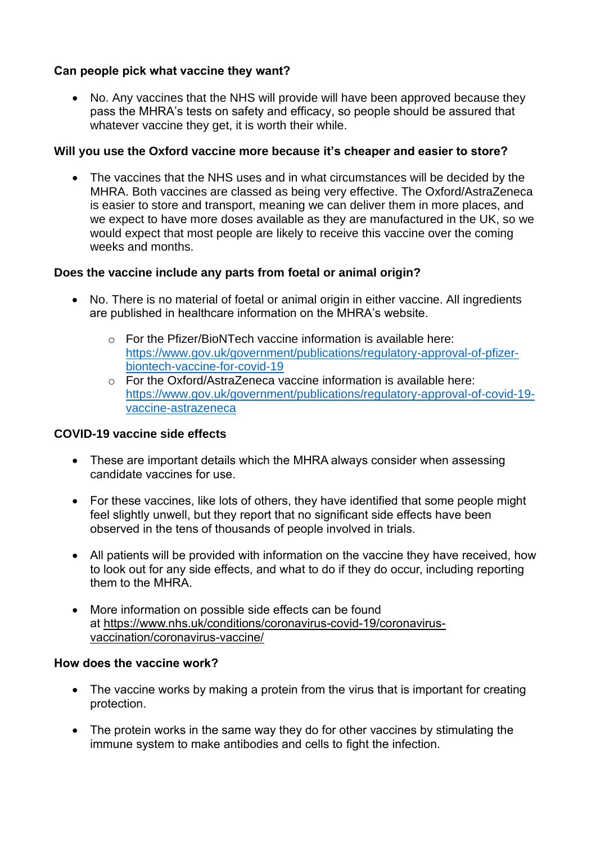## **Can people pick what vaccine they want?**

• No. Any vaccines that the NHS will provide will have been approved because they pass the MHRA's tests on safety and efficacy, so people should be assured that whatever vaccine they get, it is worth their while.

## **Will you use the Oxford vaccine more because it's cheaper and easier to store?**

• The vaccines that the NHS uses and in what circumstances will be decided by the MHRA. Both vaccines are classed as being very effective. The Oxford/AstraZeneca is easier to store and transport, meaning we can deliver them in more places, and we expect to have more doses available as they are manufactured in the UK, so we would expect that most people are likely to receive this vaccine over the coming weeks and months.

## **Does the vaccine include any parts from foetal or animal origin?**

- No. There is no material of foetal or animal origin in either vaccine. All ingredients are published in healthcare information on the MHRA's website.
	- o For the Pfizer/BioNTech vaccine information is available here: [https://www.gov.uk/government/publications/regulatory-approval-of-pfizer](https://www.gov.uk/government/publications/regulatory-approval-of-pfizer-biontech-vaccine-for-covid-19)[biontech-vaccine-for-covid-19](https://www.gov.uk/government/publications/regulatory-approval-of-pfizer-biontech-vaccine-for-covid-19)
	- $\circ$  For the Oxford/AstraZeneca vaccine information is available here: [https://www.gov.uk/government/publications/regulatory-approval-of-covid-19](https://www.gov.uk/government/publications/regulatory-approval-of-covid-19-vaccine-astrazeneca) [vaccine-astrazeneca](https://www.gov.uk/government/publications/regulatory-approval-of-covid-19-vaccine-astrazeneca)

## **COVID-19 vaccine side effects**

- These are important details which the MHRA always consider when assessing candidate vaccines for use.
- For these vaccines, like lots of others, they have identified that some people might feel slightly unwell, but they report that no significant side effects have been observed in the tens of thousands of people involved in trials.
- All patients will be provided with information on the vaccine they have received, how to look out for any side effects, and what to do if they do occur, including reporting them to the MHRA.
- More information on possible side effects can be found at [https://www.nhs.uk/conditions/coronavirus-covid-19/coronavirus](https://www.nhs.uk/conditions/coronavirus-covid-19/coronavirus-vaccination/coronavirus-vaccine/)[vaccination/coronavirus-vaccine/](https://www.nhs.uk/conditions/coronavirus-covid-19/coronavirus-vaccination/coronavirus-vaccine/)

## **How does the vaccine work?**

- The vaccine works by making a protein from the virus that is important for creating protection.
- The protein works in the same way they do for other vaccines by stimulating the immune system to make antibodies and cells to fight the infection.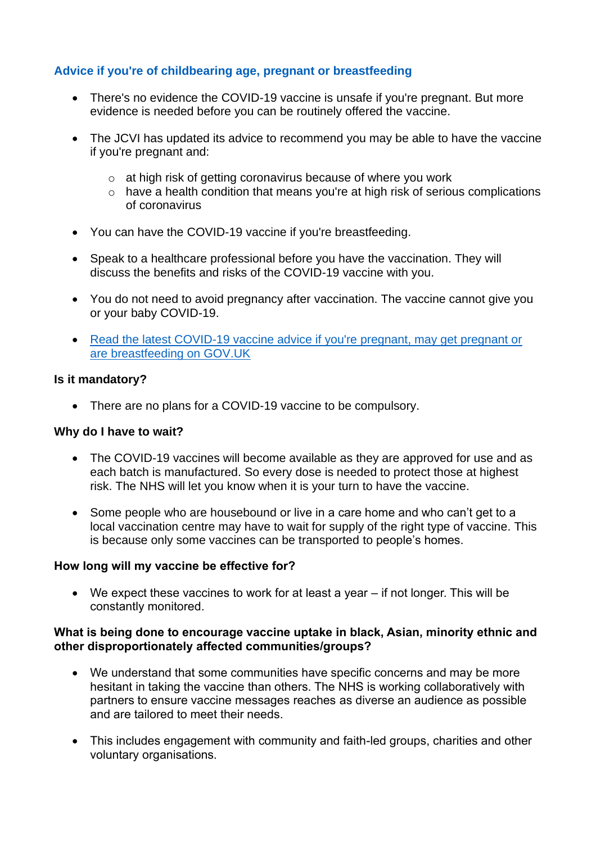## **Advice if you're of childbearing age, pregnant or breastfeeding**

- There's no evidence the COVID-19 vaccine is unsafe if you're pregnant. But more evidence is needed before you can be routinely offered the vaccine.
- The JCVI has updated its advice to recommend you may be able to have the vaccine if you're pregnant and:
	- o at high risk of getting coronavirus because of where you work
	- o have a health condition that means you're at high risk of serious complications of coronavirus
- You can have the COVID-19 vaccine if you're breastfeeding.
- Speak to a healthcare professional before you have the vaccination. They will discuss the benefits and risks of the COVID-19 vaccine with you.
- You do not need to avoid pregnancy after vaccination. The vaccine cannot give you or your baby COVID-19.
- Read the latest COVID-19 vaccine advice if you're pregnant, may get pregnant or [are breastfeeding on GOV.UK](https://www.gov.uk/government/publications/covid-19-vaccination-women-of-childbearing-age-currently-pregnant-planning-a-pregnancy-or-breastfeeding)

#### **Is it mandatory?**

• There are no plans for a COVID-19 vaccine to be compulsory.

#### **Why do I have to wait?**

- The COVID-19 vaccines will become available as they are approved for use and as each batch is manufactured. So every dose is needed to protect those at highest risk. The NHS will let you know when it is your turn to have the vaccine.
- Some people who are housebound or live in a care home and who can't get to a local vaccination centre may have to wait for supply of the right type of vaccine. This is because only some vaccines can be transported to people's homes.

## **How long will my vaccine be effective for?**

• We expect these vaccines to work for at least a year – if not longer. This will be constantly monitored.

#### **What is being done to encourage vaccine uptake in black, Asian, minority ethnic and other disproportionately affected communities/groups?**

- We understand that some communities have specific concerns and may be more hesitant in taking the vaccine than others. The NHS is working collaboratively with partners to ensure vaccine messages reaches as diverse an audience as possible and are tailored to meet their needs.
- This includes engagement with community and faith-led groups, charities and other voluntary organisations.